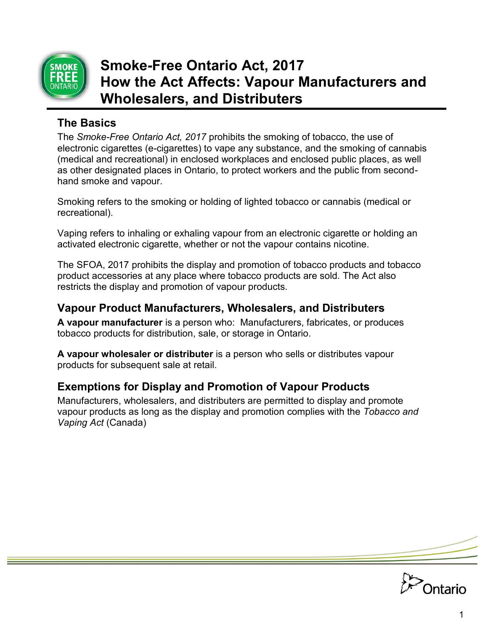

# **Smoke-Free Ontario Act, 2017 How the Act Affects: Vapour Manufacturers and Wholesalers, and Distributers**

## **The Basics**

The *Smoke-Free Ontario Act, 2017* prohibits the smoking of tobacco, the use of electronic cigarettes (e-cigarettes) to vape any substance, and the smoking of cannabis (medical and recreational) in enclosed workplaces and enclosed public places, as well as other designated places in Ontario, to protect workers and the public from secondhand smoke and vapour.

Smoking refers to the smoking or holding of lighted tobacco or cannabis (medical or recreational).

Vaping refers to inhaling or exhaling vapour from an electronic cigarette or holding an activated electronic cigarette, whether or not the vapour contains nicotine.

The SFOA, 2017 prohibits the display and promotion of tobacco products and tobacco product accessories at any place where tobacco products are sold. The Act also restricts the display and promotion of vapour products.

## **Vapour Product Manufacturers, Wholesalers, and Distributers**

**A vapour manufacturer** is a person who: Manufacturers, fabricates, or produces tobacco products for distribution, sale, or storage in Ontario.

**A vapour wholesaler or distributer** is a person who sells or distributes vapour products for subsequent sale at retail.

## **Exemptions for Display and Promotion of Vapour Products**

Manufacturers, wholesalers, and distributers are permitted to display and promote vapour products as long as the display and promotion complies with the *Tobacco and Vaping Act* (Canada)